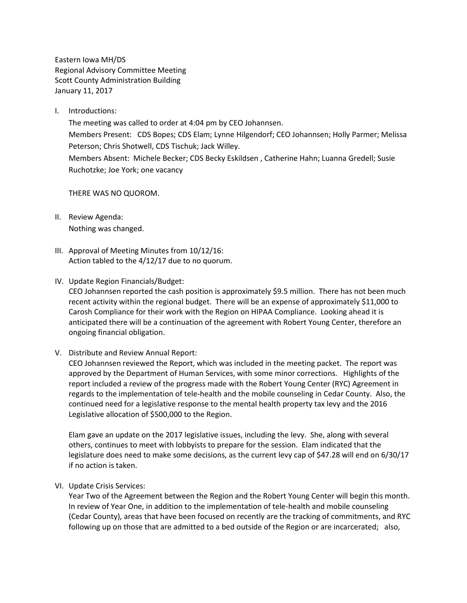Eastern Iowa MH/DS Regional Advisory Committee Meeting Scott County Administration Building January 11, 2017

I. Introductions:

The meeting was called to order at 4:04 pm by CEO Johannsen. Members Present: CDS Bopes; CDS Elam; Lynne Hilgendorf; CEO Johannsen; Holly Parmer; Melissa Peterson; Chris Shotwell, CDS Tischuk; Jack Willey. Members Absent: Michele Becker; CDS Becky Eskildsen , Catherine Hahn; Luanna Gredell; Susie Ruchotzke; Joe York; one vacancy

THERE WAS NO QUOROM.

- II. Review Agenda: Nothing was changed.
- III. Approval of Meeting Minutes from 10/12/16: Action tabled to the 4/12/17 due to no quorum.
- IV. Update Region Financials/Budget:

CEO Johannsen reported the cash position is approximately \$9.5 million. There has not been much recent activity within the regional budget. There will be an expense of approximately \$11,000 to Carosh Compliance for their work with the Region on HIPAA Compliance. Looking ahead it is anticipated there will be a continuation of the agreement with Robert Young Center, therefore an ongoing financial obligation.

V. Distribute and Review Annual Report:

CEO Johannsen reviewed the Report, which was included in the meeting packet. The report was approved by the Department of Human Services, with some minor corrections. Highlights of the report included a review of the progress made with the Robert Young Center (RYC) Agreement in regards to the implementation of tele-health and the mobile counseling in Cedar County. Also, the continued need for a legislative response to the mental health property tax levy and the 2016 Legislative allocation of \$500,000 to the Region.

Elam gave an update on the 2017 legislative issues, including the levy. She, along with several others, continues to meet with lobbyists to prepare for the session. Elam indicated that the legislature does need to make some decisions, as the current levy cap of \$47.28 will end on 6/30/17 if no action is taken.

VI. Update Crisis Services:

Year Two of the Agreement between the Region and the Robert Young Center will begin this month. In review of Year One, in addition to the implementation of tele-health and mobile counseling (Cedar County), areas that have been focused on recently are the tracking of commitments, and RYC following up on those that are admitted to a bed outside of the Region or are incarcerated; also,